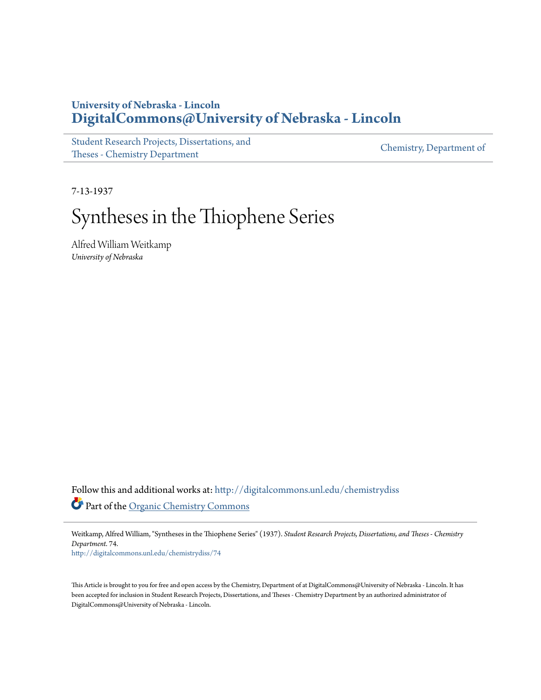# **University of Nebraska - Lincoln [DigitalCommons@University of Nebraska - Lincoln](http://digitalcommons.unl.edu?utm_source=digitalcommons.unl.edu%2Fchemistrydiss%2F74&utm_medium=PDF&utm_campaign=PDFCoverPages)**

[Student Research Projects, Dissertations, and](http://digitalcommons.unl.edu/chemistrydiss?utm_source=digitalcommons.unl.edu%2Fchemistrydiss%2F74&utm_medium=PDF&utm_campaign=PDFCoverPages) [Theses - Chemistry Department](http://digitalcommons.unl.edu/chemistrydiss?utm_source=digitalcommons.unl.edu%2Fchemistrydiss%2F74&utm_medium=PDF&utm_campaign=PDFCoverPages)

[Chemistry, Department of](http://digitalcommons.unl.edu/chemistry?utm_source=digitalcommons.unl.edu%2Fchemistrydiss%2F74&utm_medium=PDF&utm_campaign=PDFCoverPages)

7-13-1937

# Syntheses in the Thiophene Series

Alfred William Weitkamp *University of Nebraska*

Follow this and additional works at: [http://digitalcommons.unl.edu/chemistrydiss](http://digitalcommons.unl.edu/chemistrydiss?utm_source=digitalcommons.unl.edu%2Fchemistrydiss%2F74&utm_medium=PDF&utm_campaign=PDFCoverPages) Part of the [Organic Chemistry Commons](http://network.bepress.com/hgg/discipline/138?utm_source=digitalcommons.unl.edu%2Fchemistrydiss%2F74&utm_medium=PDF&utm_campaign=PDFCoverPages)

Weitkamp, Alfred William, "Syntheses in the Thiophene Series" (1937). *Student Research Projects, Dissertations, and Theses - Chemistry Department*. 74.

[http://digitalcommons.unl.edu/chemistrydiss/74](http://digitalcommons.unl.edu/chemistrydiss/74?utm_source=digitalcommons.unl.edu%2Fchemistrydiss%2F74&utm_medium=PDF&utm_campaign=PDFCoverPages)

This Article is brought to you for free and open access by the Chemistry, Department of at DigitalCommons@University of Nebraska - Lincoln. It has been accepted for inclusion in Student Research Projects, Dissertations, and Theses - Chemistry Department by an authorized administrator of DigitalCommons@University of Nebraska - Lincoln.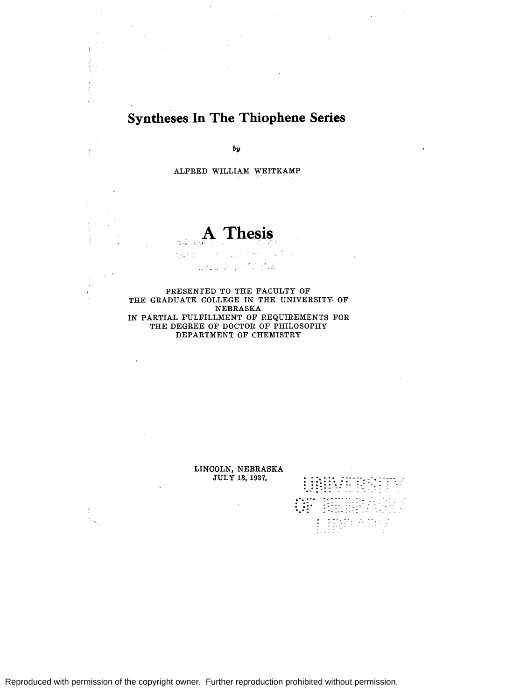# **Syntheses In The Thiophene Series**

*by* 

ALFRED WILLIAM WEITKAMP

# $\Gamma$  hesis

 $7.2.7.2$ 

لأمار نانا المتواردة..أوهم

PRESENTED TO THE FACULTY OF THE GRADUATE COLLEGE IN THE UNIVERSITY OF NEBRASKA IN PARTIAL FULFILLMENT OF REQUIREMENTS FOR THE DEGREE OF DOCTOR OF PHILOSOPHY DEPARTMENT OF CHEMISTRY

> LINCOLN, NEBRASKA JULY 13, 1937,

<sup>~</sup>; ; ~ ~ ; \ /;:. ~ :\_: : : : : . ~. '-. *\_:* . ... . .. ,, ..., -- - - - - .

... .... ... ...... --- --- --- - . . . ..., .. ..., ..., - -- - -- - - : . : : . : : : ~ ~ -: ~:: ..., \_\_ -"'- - -\_ - - --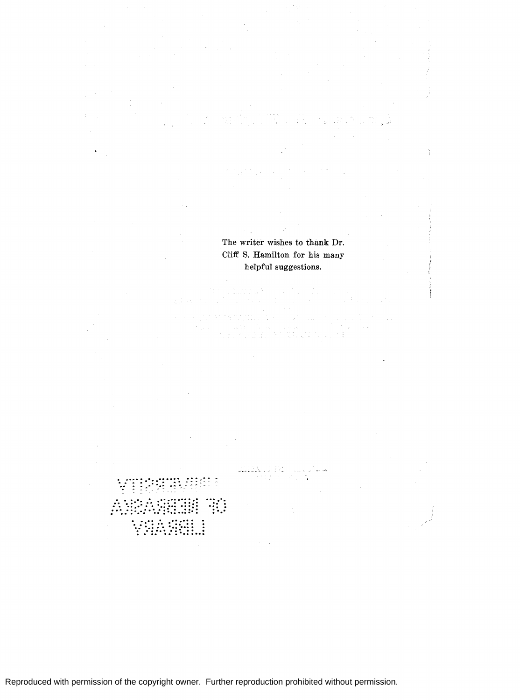The writer wishes to thank Dr. Cliff S. Hamilton for his many helpful suggestions.

 $\mathcal{L}$ 

Reproduced with permission of the copyright owner. Further reproduction prohibited without permission.

 $\ddot{\cdot}$  .

**SHOW** CONS

والبيدة

tina et Zuita

·. :" :"': . . . "'.... . . . "' .. .. "': .. : ,..: :,\_\_ .... " - " - "

. ·.:··: :·::·:··:::: "'. .. . . .. ... . ... . . "' .......... : . . .. . . . . . . . . . . ... . . ·. *:* .. : ... . . : *:* . : : . . . . . . .. ... . . : .·::·~:::.:: .. :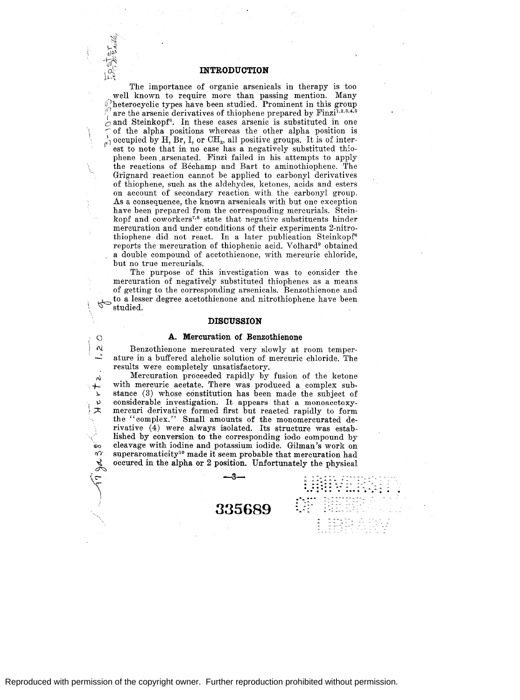**INTRODUCTION** 

The importance of organic arsenicals in therapy is too well known to require more than passing mention. Many heterocyclic types have been studied. Prominent in this group  $\int_{1}^{1}$  are the arsenic derivatives of thiophene prepared by Finzi<sup>1,2,3,4,5</sup>  $\circ$  and Steinkopf<sup>6</sup>. In these cases arsenic is substituted in one of the alpha positions whereas the other alpha position is  $\frac{1}{\beta}$  occupied by H, Br, I, or CH<sub>3</sub>, all positive groups. It is of interest to note that in no case has a negatively substituted thiophene been .arsenated. Finzi failed in his attempts to apply the reactions of Bechamp and Bart to aminothiophene. The Grignard reaction cannot be applied to carbonyl derivatives of thiophene, such as the aldehydes, ketones, acids and esters on account of secondary reaction with the carbonyl group. As a consequence, the known arsenicals with but one exception have been prepared from the corresponding mercurials. Steinkopf and coworkers<sup>7,8</sup> state that negative substituents hinder mercuration and under conditions of their experiments 2-nitrothiophene did not react. In a later publication Steinkopf6 reports the mercuration of thiophenic acid. Volhard<sup>9</sup> obtained a double compound. of acetothienone, with mercuric chloride, but no true mercurials.

The purpose of this investigation was to consider the mercuration of negatively substituted thiophenes as a means of getting to the corresponding arsenicals. Benzothienone and to a lesser degree acetothienone and nitrothiophene have been studied.  $\sqrt{8}$  studied.

# **DISCUSSION**

#### **A. Mercuration of Benzothienone**

 $\circ$ 

 $\boldsymbol{\alpha}$ 

 $\overline{N}$  $% \mathbb{R} \rightarrow \mathbb{R}$ 

 $\mathbf{v}$ 大

 $\mathcal{L}$ 

Benzothienone mercurated very slowly at room temperature in a buffered alcholic solution of mercuric chloride. The results were completely unsatisfactory.

 $\searrow$ Mercuration proceeded rapidly by fusion of the ketone with mercuric acetate. There was produced a complex substance (3) whose constitution has been made the subject of considerable investigation. It appears that a monoacetoxymercuri derivative formed first but reacted. rapidly to form the ''complex.'' Small amounts of the monomercurated derivative  $(4)$  were always isolated. Its structure was established by conversion to the corresponding iodo compound by cleavage with iodine and potassium iodide. Gilman's work on superaromaticity<sup>10</sup> made it seem probable that mercuration had occured in the alpha or 2 position. Unfortunately the physical

**--3-**

**335689** 

........... ...  $\mathbb{C}^{n}_{\mathbb{R}}$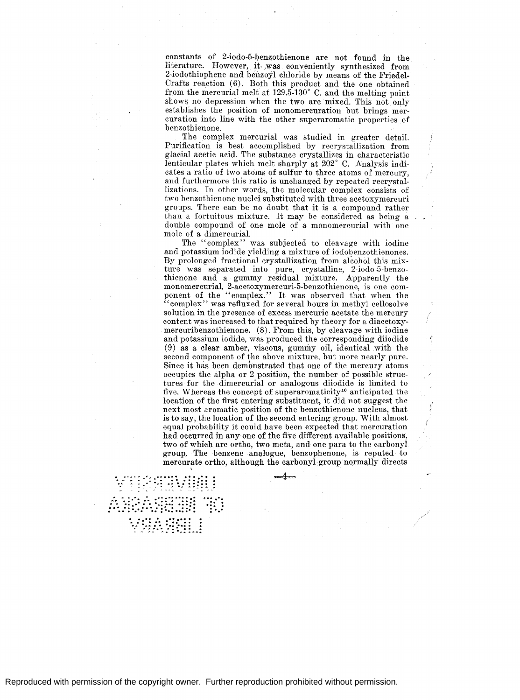constants of 2-iodo-5-benzothienone are not found in the literature. However, *it* was conveniently synthesized from 2-iodothiophene and benzoyl chloride by means of the Friedel-Crafts reaction (6). Both this product and the one obtained from the mercurial melt at 129.5-130° C. and the melting point shows no depression when the two are mixed. This not only establishes the position of monomercuration but brings mercuration into line with the other superaromatic properties of benzothienone.

The complex mercurial was studied in greater detail. Purification is best accomplished by recrystallization from glacial acetic acid. The substance crystallizes in characteristic lenticular plates which melt sharply at 202° C. Analysis indicates a ratio of two atoms of sulfur to three atoms of mercury, and furthermore this ratio is unchanged by repeated recrystallizations. In other words, the molecular complex consists of two benzothienone nuclei substituted with three acetoxymercuri groups. There can be no doubt that it is a compound rather than a fortuitous mixture. It may be considered as being a double compound of one mole of a monomercurial with one mole of a dimercurial.

The ''complex'' was subjected to cleavage with iodine and potassium iodide yielding a mixture of iodobenzothienones. By prolonged fractional crystallization from alcohol this mixture was separated into pure, crystalline, 2-iodo-5-benzothienone and a gummy residual mixture. Apparently the monomercurial, 2-acetoxymercuri-5-benzothienone, is one component of the "complex." It was observed that when the "complex" was refluxed for several hours in methyl cellosolve solution in the presence of excess mercuric acetate the mercury content was increased to that required by theory for a diacetoxymercuribenzothienone. (8). From this, by cleavage with iodine and potassium iodide, was produced the corresponding diiodide  $(9)$  as a clear amber, viscous, gummy oil, identical with the second component of the above mixture, but more nearly pure. Since it has been demonstrated that one of the mercury atoms occupies the alpha or 2 position, the number of possible structures for the dimercurial or analogous diiodide is limited to five. Whereas the concept of superaromaticity<sup>10</sup> anticipated the location of the first entering substituent, it did not suggest the next most aromatic position of the benzothienone nucleus, that is to say, the location of the second entering group. With almost equal probability it could have been expected that mercuration had occurred in any one of the five different available positions, two of which are ortho, two meta, and one para to the carbonyl group. The benzene analogue, benzophenone, is reputed to mercurate ortho, although the carbonyl group normally directs \

... : .. :~: .. ":'"·:··:~ ::::::: ................. :-.::::::: ,. ' ,.. - <sup>~</sup>- ~ ~ ............ ,,. ............... "" ....... . . ·: · .. : .. · ...... ·.::.: .:::: .:: : *:·· .. ·:·.·:··.:::..: .. ::·:* :·.· ·.. : .. : *:.* . . : *:* . : : "' ............. . : ... "';: .. :~·:":. .. :: ... :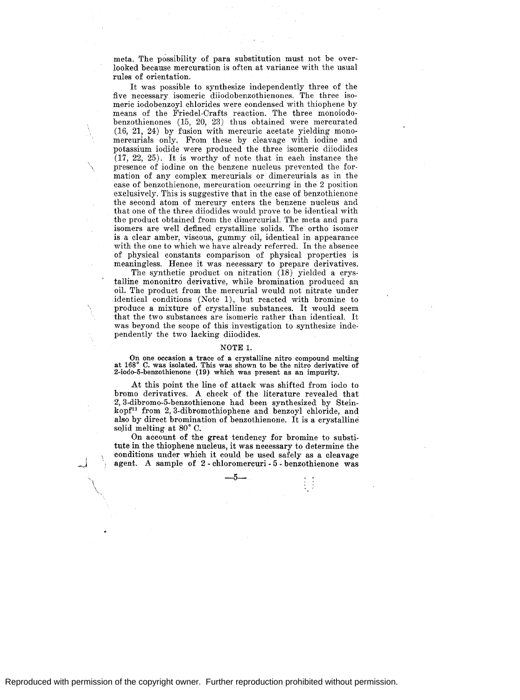meta. The possibility of para substitution must not be overlooked because mercuration is often at variance with the usual rules of orientation.

It was possible to synthesize independently three of the five necessary isomeric diiodobenzothienones. The three isomeric iodobenzoyl chlorides were condensed with thiophene by means of the Friedel-Crafts reaction. The three monoiodobenzothienones (15, 20, 23) thus obtained were mercurated (16, 21, 24) by fusion with mercuric acetate yielding monomercurials only. From these by cleavage with iodine and potassium iodide were produced the three isomeric diiodides (17, 22, 25). It is worthy of note that in each instance the \ presence of iodine on the benzene nucleus prevented the formation of any complex mercurials or dimercurials as in the case of benzothienone, mercuration occurring in the 2 position exclusively. This is suggestive that in the case of benzothienone the second atom of mercury enters the benzene nucleus and that one of the three diiodides would prove to be identical with the product obtained from the dimercurial. The meta and para isomers are well defined crystalline solids. The ortho isomer is a clear amber, viscous, gummy oil, identical in appearance with the one to which we have already referred. In the absence of physical constants comparison of physical properties is meaningless. Hence it was necessary to prepare derivatives.

The synthetic product on nitration (18) yielded a crystalline mononitro derivative, while bromination produced an oil. The product from the mercurial would not nitrate under identical conditions (Note 1), but reacted with bromine to produce a mixture of crystalline substances. It would seem that the two substances are isomeric rather than identical. It was beyond the scope of this investigation to synthesize independently the two lacking diiodides.

#### NOTE 1.

On one occasion a trace of a crystalline nitro compound melting at 168° C. was isolated. This was shown to be the nitro derivative of 2-iodo-5-benzothienone (19) which was present as an impurity.

At this point the line of attack was shifted from iodo to bromo derivatives. *A* check of the literature revealed that 2, 3-dibromo-5-benzothienone had been synthesized by Steinkopf<sup>11</sup> from 2,3-dibromothiophene and benzoyl chloride, and also by direct bromination of benzothienone. It is a crystalline solid melting at 80° C.

On account of the great tendency for bromine to substitute in the thiophene nucleus, it was necessary to determine the conditions under which it could be used safely as a cleavage agent. *A* sample of 2 - chloromercuri - 5 - benzothienone was

į. ..,..,I

 $-5-$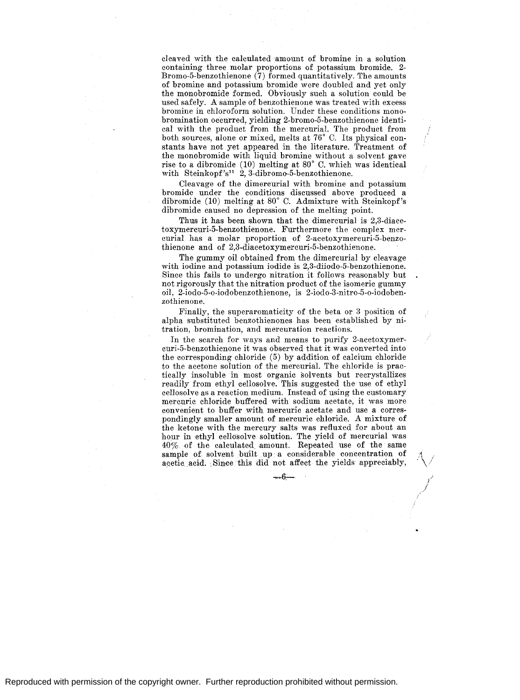cleaved with the calculated amount of bromine in a solution containing three molar proportions of potassium bromide. 2- Bromo-5-benzothienone (7) formed quantitatively. The amounts of bromine and potassium bromide were doubled and yet only the monobromide formed. Obviously such a solution could be used safely. *A* sample of benzothienone was treated with excess bromine in chloroform solution. Under these conditions monobromination occurred, yielding 2-bromo-5-benzothienone identical with the product from the mercurial. The product from both sources, alone or mixed, melts at 76° C. Its physical constants have not yet appeared in the literature. Treatment of the monobromide with liquid bromine without a solvent gave rise to a dibromide (10) melting at 80° C. which was identical with Steinkopf's<sup>11</sup> 2, 3-dibromo-5-benzothienone.

Cleavage of the dimercurial with bromine and potassium bromide under the conditions discussed above produced a dibromide (10) melting at 80° C. Admixture with Steinkopf's dibromide caused no depression of the melting point.

Thus it has been shown that the dimercurial is 2,3-diaeetoxymercuri-5-benzothienone. Furthermore the complex mercurial has a molar proportion of 2-acetoxymercuri-5-benzothienone and of 2,3-diacetoxymercuri-5-benzothienone.

The gummy oil obtained from the dimercurial by cleavage with iodine and potassium iodide is 2,3-diiodo-5-benzothienone. Since this fails to undergo nitration it follows reasonably but not rigorously that the nitration product of the isomeric gummy oil, 2-iodo-5-o-iodobenzothienone, is 2-iodo-3-nitro-5-o-iodobenzothienone.

Finally, the superaromaticity of the beta or 3 position of alpha substituted benzothienones has been established by nitration, bromination, and mercuration reactions.

In the search for ways and means to purify 2-acetoxymercuri-5-benzothienone it was observed that it was converted into the corresponding chloride (5) by addition of calcium chloride to the acetone solution of the mercurial. The chloride is practically insoluble in most organic solvents but recrystallizes readily from ethyl cellosolve. This suggested the use of ethyl cellosolve as a reaction medium. Instead of using the customary mercuric chloride buffered with sodium acetate, it was more convenient to buffer with mercuric acetate and use a correspondingly smaller amount of mercuric chloride. A mixture of the ketone with the mercury salts was refluxed for about an hour in ethyl cellosolve solution. The yield of mercurial was 40% of the calculated. amount. Repeated use of the same sample of solvent built up a considerable concentration of acetic acid. Since this did not affect the yields appreciably,

 $-6$   $-$ 

,!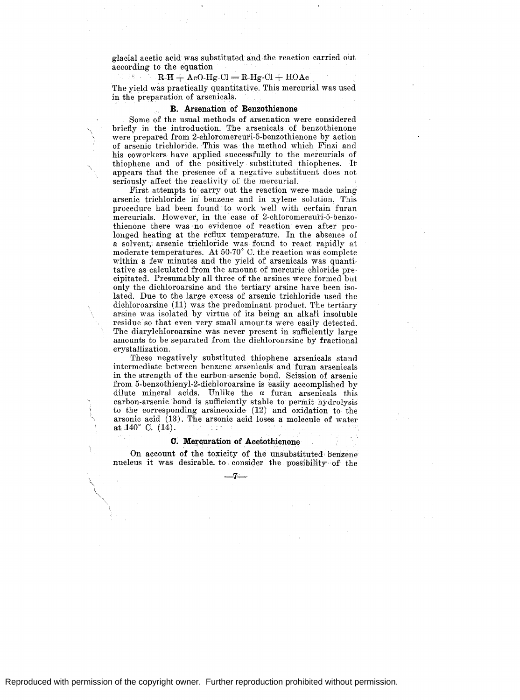glacial acetic acid was substituted and the reaction carried out according to the equation

# $R-H + AcO-Hg-Cl = R-Hg-Cl + HOAc$

The yield was practically quantitative. This mercurial was used in the preparation of arsenicals.

# **B. Arsenation of Benzothienone**

Some of the usual methods of arsenation were considered briefly in the introduction. The arsenicals of benzothienone were prepared from 2-chloromercuri-5-benzothienone by action of arsenic trichloride. This was the method which Finzi and his coworkers have applied successfully to the mercurials of thiophene and of the positively substituted thiophenes. It appears that the presence of a negative substituent does not seriously affect the reactivity of the mercurial.

First attempts to carry out the reaction were made using arsenic trichloride in benzene and in xylene solution. This procedure had been found to work well with certain furan mercurials. However, in the case of 2-chloromercuri-5-benzothienone there was no evidence of reaction even after prolonged heating at the reflux temperature. In the absence of a solvent, arsenic trichloride was found to react rapidly at moderate temperatures. At 50-70° C. the reaction was complete within a few minutes and the yield of arsenicals was quantitative as calculated from the amount of mercuric chloride precipitated. Presumably all three of the arsines were formed but only the dichloroarsine and the tertiary arsine have been isolated. Due to the large excess of arsenic trichloride used the dichloroarsine (11) was the predominant product. The tertiary arsine was isolated by virtue of its being an alkali insoluble residue so that even very small amounts were easily detected. The diarylchloroarsine was never present in sufficiently large amounts to be separated from the dichloroarsine by fractional crystallization.

These negatively substituted thiophene arsenicals stand intermediate between benzene arsenicals and furan arsenicals in the strength of the carbon-arsenic bond. Scission of arsenic from 5-benzothienyl-2-dichloroarsine is easily accomplished by dilute mineral acids. Unlike the *a* furan arsenicals this carbon-arsenic bond is sufficiently stable to permit hydrolysis to the corresponding arsineoxide (12) and oxidation to the arsonic acid  $(13)$ . The arsonic acid loses a molecule of water at 140° C. (14). 1.2.7

# **0. Mercuration of Acetothienone**

On account of the toxicity of the unsubstituted benzene nucleus it was desirable to consider the possibility of the

 $-7$   $-$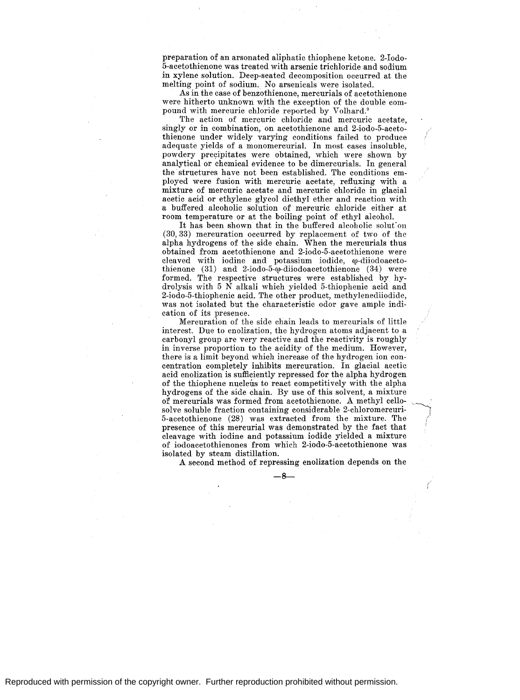preparation 0£ an arsonated aliphatic thiophene ketone. 2-Iodo-5-acetothienone was treated with arsenic trichloride and sodium in xylene solution. Deep-seated decomposition occurred at the melting point 0£ sodium. No arsenicals were isolated.

As in the case 0£ benzothienone, mercurials 0£ acetothienone were hitherto unknown with the exception of the double compound with mercuric chloride reported by Volhard.<sup>9</sup>

The action of mercuric chloride and mercuric acetate, singly or in combination, on acetothienone and 2-iodo-5-acetothienone under widely varying conditions failed to produce adequate yields of a monomercurial. In most cases insoluble, powdery precipitates were obtained, which were shown by analytical or chemical evidence to be dimercurials. In general the structures have not been established. The conditions employed were fusion with mercuric acetate, refluxing with a mixture of mercuric acetate and mercuric chloride in glacial acetic acid or ethylene glycol diethyl ether and reaction with a buffered alcoholic solution of mercuric chloride either at room temperature or at the boiling point of ethyl alcohol.

It has been shown that in the buffered alcoholic solution (30, 33) mercuration occurred by replacement of two of the alpha hydrogens of the side chain. When the mercurials thus obtained from acetothienone and 2'-iodo-5-acetothienone were cleaved with iodine and potassium iodide,  $\varphi$ -diiodoacetothienone (31) and 2-iodo-5- $\omega$ -diiodoacetothienone (34) were formed. The respective structures were established by hydrolysis with 5 N alkali which yielded 5-thiophenic acid and 2-iodo-5-thiophenic acid. The other product, methylenediiodide, was not isolated but the characteristic odor gave ample indication of its presence.

Mercuration of the side chain leads to mercurials of little interest. Due to enolization, the hydrogen atoms adjacent to a carbonyl group are very reactive and the reactivity is roughly in inverse proportion to the acidity of the medium. However, there is a limit beyond which increase of the hydrogen ion concentration completely inhibits mercuration. In glacial acetic acid enolization is sufficiently repressed for the alpha hydrogen of the thiophene nucleus to react competitively with the alpha hydrogens of the side chain. By use of this solvent, a mixture of mercurials was formed from acetothienone. *A* methyl cellosolve soluble fraction containing considerable 2-chloromercuri-5-acetothienone (28) was extracted from the mixture. The presence of this mercurial was demonstrated by the fact that cleavage with iodine and potassium iodide yielded a mixture of iodoacetothienones from which 2-iodo-5-acetothienone was isolated by steam distillation.

*A* second method of repressing enolization depends on the

-8-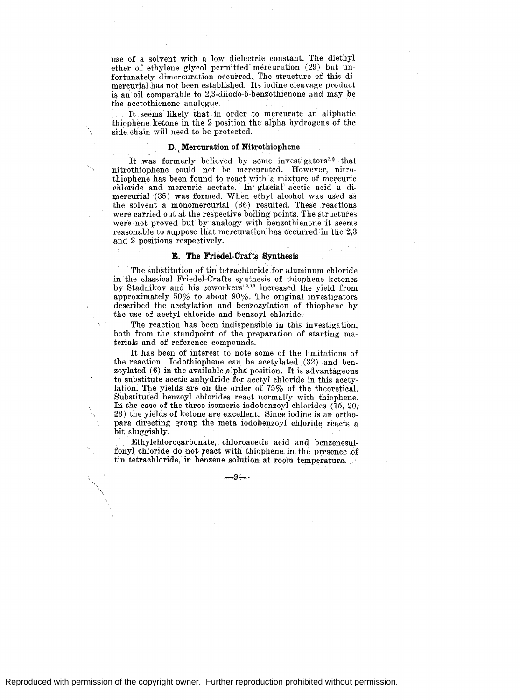use of a solvent with a low dielectric constant. The diethyl ether of ethylene glycol permitted mercuration (29) but unfortunately dimercuration occurred. The structure of this dimercurial has not been established. Its iodine cleavage product is an oil comparable to 2,3-diiodo-5-benzothienone and may be the acetothienone analogue.

It seems likely that in order to mercurate an aliphatic thiophene ketone in the 2 position the alpha hydrogens of the side chain will need to be protected.

#### **D.** Mercuration of Nitrothiophene

It was formerly believed by some investigators<sup>7,8</sup> that nitrothiophene could not be mercurated. However, nitrothiophene has been found to react with a mixture of mercuric chloride and mercuric acetate. In' gfacial acetic acid a dimercurial (35) was formed. When ethyl alcohol was used as the solvent a monomercurial (36) resulted. These reactions were carried out at the respective boiling points. The structures were not proved but by analogy with benzothienone it seems reasonable to suppose that mercuration has occurred in the 2,3 and 2 positions respectively.

# **E. The Friedel-Crafts Synthesis**

The substitution of tin. tetrachloride for aluminum chloride in the classical Friedel-Crafts synthesis of thiophene ketones by Stadnikov and his coworkers<sup>12,13</sup> increased the yield from approximately 50% to about 90%. The original investigators described the acetylation and benzozylation of thiophene by the use of acetyl chloride and benzoyl chloride.

The reaction has been indispensible in this investigation, both from the standpoint of the preparation of starting materials and of reference compounds.

It has been of interest to note some of the limitations of the reaction. Iodothiophene can be acetylated (32) and benzoylated (6) in the available alpha position. It is advantageous to substitute acetic anhydride for acetyl chloride in this acetylation. The yields are on the order of 75% of the theoretical. Substituted benzoyl chlorides react normally with thiophene. In the case of the three isomeric iodobenzoyl chlorides (15, 20, 23) the yields of ketone are excellent. Since iodine is an orthopara directing group the meta iodobenzoyl chloride reacts a bit sluggishly.

. Ethylchloroqarbonate, chloroacetic acid and benzenesulfonyl chloride do not react with thiophene in the presence of tin tetrachloride, in benzene solution at room temperature.

\_9;\_.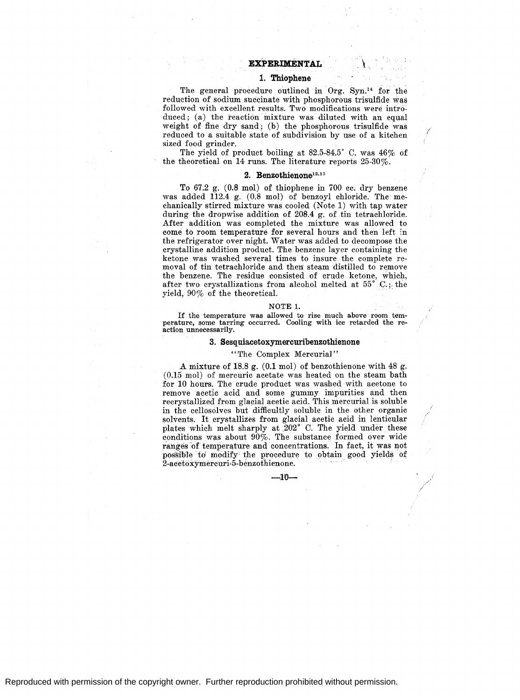#### **EXPERIMENTAL**

# **1. Thiophene**

The general procedure outlined in  $Org. Sym.<sup>14</sup>$  for the reduction of sodium succinate with phosphorous trisulfide was followed with excellent results. Two modifications were introduced; (a) the reaction mixture was diluted with an equal weight of fine dry sand; (b) the phosphorous trisulfide was reduced to a suitable state of subdivision by use of a kitchen sized food grinder.

I

The yield of product boiling at 82.5-84.5° C. was 46% of the theoretical on 14 runs. The literature reports 25-30%.

# **2. Benzothienone12· 13**

To 67.2 g. (0.8 mol) of thiophene in 700 cc. dry benzene was added 112.4 g. (0.8 mol) of benzoyl chloride. The mechanically stirred mixture was cooled (Note.1) with tap water during the dropwise addition of 208.4 g. of tin tetrachloride. After addition was completed the mixture was allowed to come to room temperature for several hours and then left *in*  the refrigerator over night. Water was added to decompose the crystalline addition product. The benzene layer containing the ketone was washed several times to insure the complete removal of tin tetrachloride and then steam distilled to remove the benzene. The residue consisted of crude ketone, which, after two crystallizations from alcohol melted at  $55^{\circ}$  C,; the yield, 90% of the theoretical.

#### NOTE 1.

If the temperature was allowed to rise much above room temperature, some tarring occurred. Cooling with ice retarded the re-<br>action unnecessarily.

# **3. Sesquiacetoxymercuribenzothienone**

# ''The Complex Mercurial''

A mixture of 18.8 g. (0.1 mol) of benzothienone with 48 g. (0.15 mol) of mercuric acetate was heated on the steam bath for 10 hours. The crude product was washed with acetone to remove acetic acid and some gummy impurities and then recrystallized from glacial acetic acid. This mercurial is soluble in the cellosolves but difficultly soluble in the other organic solvents. It crystallizes from glacial acetic acid in lenticular plates which melt sharply at 202° C. The yield under these conditions was about  $90\%$ . The substance formed over wide ranges of temperature and concentrations. In fact, it was not possible td modify the procedure to obtain good yields of  $2$ -acetoxymercuri-5-benzothienone.

-HJ-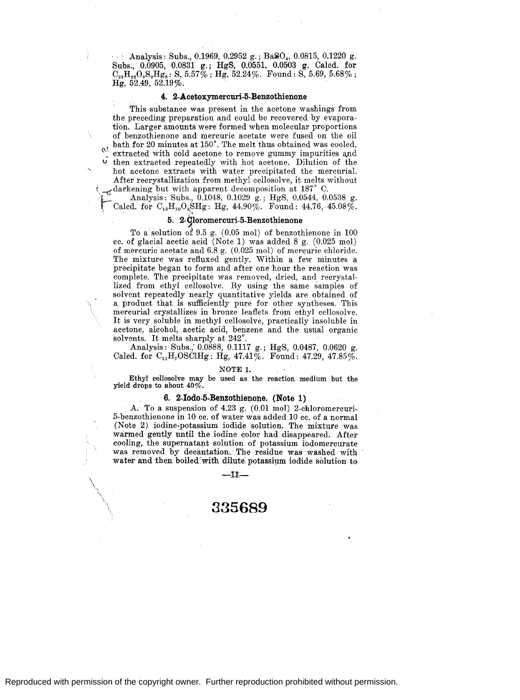Analysis: Subs., 0.1969, 0.2952 g.; Ba $SO_4$ , 0.0815, 0.1220 g. Subs., 0.0905, 0.0831 g.; HgS, 0.0551, 0.0503 g. Calcd. for  $C_{28}H_{22}O_8S_2H_{28}$ : S, 5.57%; Hg, 52.24%. Found: S, 5.69, 5.68%; Hg, 52.49, 52.19%.

#### **4.** 2-Acetoxymercuri~5-Benzothienone

This substance was present in the acetone washings from the preceding preparation and could be recovered by evaporation. Larger amounts were formed when molecular proportions of benzothienone and mercuric acetate were fused on the oil  $\alpha$  bath for 20 minutes at 150 $\degree$ . The melt thus obtained was cooled,  $\frac{N}{\sigma}$  extracted with cold acetone to remove gummy impurities and  $\sigma$  then extracted repeatedly with hot acetone. Dilution of the then extracted repeatedly with hot acetone. Dilution of the hot acetone extracts with water precipitated the mercurial. After recrystallization from methyl cellosolve, it melts without  $t_f$  darkening but with apparent decomposition at 187° C.

L Analysis: Subs., 0.1048, 0.1029 g.; HgS, 0.0544, 0.0538 g. Calcd. for  $C_{13}H_{10}O_3SHg$ : Hg,  $44.90\%$ . Found:  $44.76$ ,  $45.08\%$ .

# **5. 2-9Ioromercuri-5-Benzothienone**

To a'solution of 9.5 g. (0.05 mol) of benzothienone in 100 cc. of glacial acetic acid (Note 1) was added 8 g. (0.025 mol) of mercuric acetate and 6.8 g. (0.025 mol) of mercuric chloride. The mixture was refluxed gently. Within a few minutes a precipitate began to form and after one hour the reaction was complete. The precipitate was removed, dried, and recrystallized from ethyl cellosolve. By using the same samples of solvent repeatedly nearly quantitative yields are obtained of a product that is sufficiently pure for other syntheses. This mercurial crystallizes in bronze leaflets from ethyl cellosolve. It is very soluble in methyl cellosolve, practically insoluble in acetone, alcohol, acetic acid, benzene and the usual organic solvents. It melts sharply at  $242^{\circ}$ .

Analysis: Subs., 0.0888, 0.1117 g.; HgS, 0.0487, 0.0620 g. Calcd. for  $C_{11}H_7 O SClHg$ : Hg, 47.41%. Found: 47.29, 47.85%.

#### NOTE 1.

Ethyl cellosolve may be used as the reaction medium but the yield drops to about  $40\%$ .

# **6. 2-Iodo-5-Benzothienone. (Note 1)**

A. To a suspension of 4.23 g. (0.01 mol) 2-chloromercuri-5-benzothienone in 10. cc. of water was added 10 cc. of a normal (Note 2) iodine-potassium iodide solution. The mixture was warmed gently until the iodine color had disappeared. After cooling, the supernatant solution of potassium iodomercurate was removed by decantation. The residue was washed with water and then boiled with dilute potassium iodide solution to

 $-11$   $-$ 

# **335689**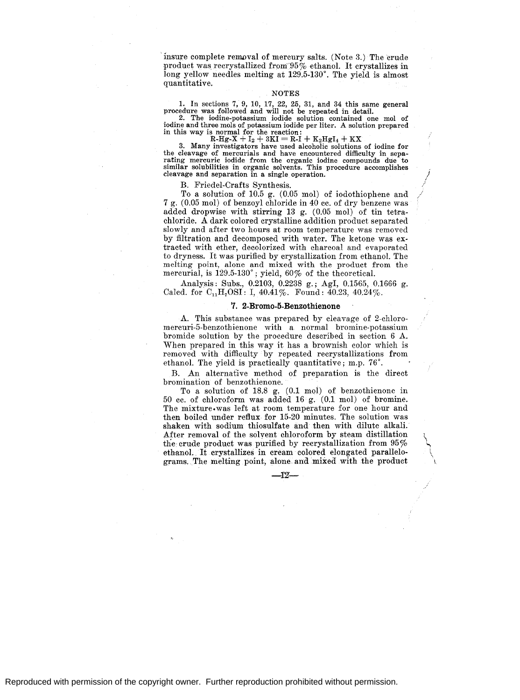'insure complete renwval of mercury salts. (Note 3.) The crude product was recrystallized from 95% ethanol. It crystallizes in long yellow needles melting at 129.5-130°. The yield is almost quantitative.

# NOTES

1. In sections 7, 9, 10, 17, 22, 25, 31, and 34 this same general procedure was followed and will not be repeated in detail.

2. The iodine-potassium iodide solution contained one mol of iodine and three mols of potassium iodide per liter. A solution prepared in this way is normal for the reaction:<br>  $R-Hg-X + I_2 + 3KI = R-I + K_2HgI_4 + KX$ 

3. Many investigators have used alcoholic solutions of iodine for the cleavage of mercurials and have encountered difficulty in separating mercuric iodide from the organic iodine compounds due to similar solubilities in organic solvents. This procedure accomplishes cleavage and separation in a single operation.

B. Friedel-Crafts Synthesis.

To a solution of 10.5 g. (0.05 mol) of iodothiophene and / 7 g. (0.05 mol) of benzoyl chloride in 40 cc. of dry benzene was added dropwise with stirring 13 g. (0.05 mol) of tin tetrachloride. A dark colored crystalline addition product separated slowly and after two hours at room temperature was removed by filtration and decomposed with water. The ketone was extracted with ether, decolorized with charcoal and evaporated to dryness. It was purified by crystallization from ethanol. The melting point, alone and mixed with the product from the mercurial, is 129.5-130° ; yield, 60% of the theoretical.

Analysis: Subs., 0.2103, 0.2238 g.; Agl, 0.1565, 0.1666 g. Calcd. for  $C_{11}H_{7}OSI$ : I, 40.41%. Found: 40.23, 40.24%.

#### **7. 2-Bromo-5-Benzothienone**

A. This substance was prepared by cleavage of 2-chloromercuri-5-benzothienone with a normal bromine-potassium bromide solution by the procedure described in section 6 A. When prepared in this way it has a brownish color which is removed with difficulty by repeated recrystallizations from ethanol. The yield is practically quantitative; m.p. 76°.

B. An alternative method of preparation is the direct bromination of benzothienone.

To a solution of 18.8 g. (0.1 mol) of benzothienone in 50 cc. of chloroform was added 16 g. (0.1 mol) of bromine. The mixture.was left at room temperature for one hour and then boiled under reflux. for 15-20 minutes. The solution was shaken with sodium thiosulfate and then with dilute alkali. After removal of the solvent chloroform by steam distillation \ the crude product was purified by recrystallization from  $95\%$ ethanol.. It crystallizes in cream colored elongated parallelo- \ grams. The melting point, alone and mixed. with the product

-r2'-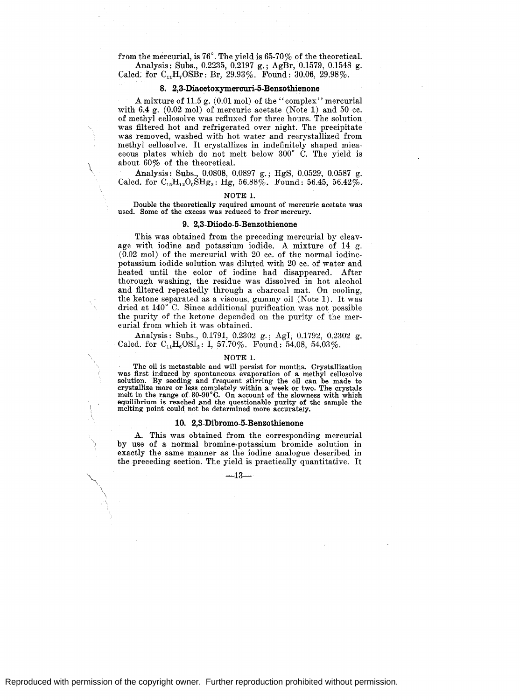from the mercurial, is  $76^\circ$ . The yield is  $65-70\%$  of the theoretical. Analysis: Subs., 0.2235, 0.2197 g.; AgBr, 0.1579, 0.1548 g.

Calcd. for  $C_{11}H_7OSBr$ : Br, 29.93%. Found: 30.06, 29.98%.

# **8. 2,3-Diacetoxymercuri-5-Benzothienone**

.A mixture of 11.5 g. (0.01 mol) of the" complex'' mercurial with 6.4 g. (0.02 mol) of mercuric acetate (Note **1)** and 50 cc. of methyl cellosolve was refluxed for three hours. The solution was filtered hot and refrigerated over night. The precipitate was removed, washed with hot water and recrystallized from methyl cellosolve. It crystallizes in indefinitely shaped micaceous plates which do not melt below 300° C. The yield is about 60% of the theoretical.

Analysis: Subs., 0.0808, 0.0897 g.; HgS, 0.0529; 0.0587 g. Calcd. for  $C_{15}H_{12}O_5SHg_2$ : Hg, 56.88%. Found: 56.45, 56.42%.

#### NOTE 1.

Double the theoretically required amount of mercuric acetate was used. Some of the excess was reduced to free mercury.

# **9. 2,3-Diiodo-5-Benzothienone**

This was obtained from the preceding mercurial by cleavage with iodine and potassium iodide. A mixture of 14 g. (0.02 mol) of the mercurial with 20 cc. of the normal iodinepotassium iodide solution was diluted with 20 cc. of water and heated until the color of iodine had disappeared. After thorough washing, the residue was dissolved in hot alcohol and filtered repeatedly through a charcoal mat. On cooling, the ketone separated as a viscous, gummy oil (Note 1). It was dried at 140° C. Since additional purification was not possible the purity of the ketone depended on the purity of the mercurial from which it was obtained.

Analysis: Subs., 0.1791, 0.2302 g.; AgI, 0.1792, 0.2302 g. Calcd. for  $C_{11}H_6OSI_2$ : I, 57.70%. Found: 54.08, 54.03%.

#### NOTE 1.

The oil is metastable and will persist for months. Crystallization was first induced by spontaneous evaporation of a methyl cellosolve solution. By seeding and frequent stirring the oil can be made to crystallize more or less completely within a week or two. The crystals melt in the range of 80-90°C. On account of the slowness with which equilibrium is reached and the questionable purity of the sample the melting point could. not be determined more accurately.

#### **10. 2,3-Dibromo-5-Benzothienone**

.A. This was obtained from the corresponding mercurial by use of a normal bromine-potassium bromide solution in exactly the same manner as the iodine analogue described in the preceding section. The yield is practically quantitative. It

 $-13-$ 

.,  $\checkmark$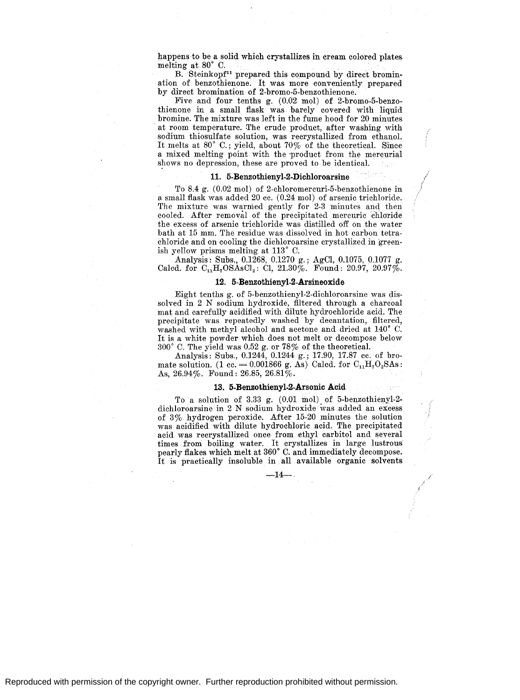happens to be a solid which crystallizes in cream colored plates. melting at 80° C.

B. Steinkopf<sup>11</sup> prepared this compound by direct bromination of benzothienone. It was more conveniently prepared by direct bromination of 2-bromo-5-benzothienone.

Five and four tenths g. (0.02 mol) of 2-bromo-5-benzothienone in a small flask was barely covered with liquid bromine. The mixture was left in the fume hood for 20 minutes at room temperature. The crude product, after washing with sodium thiosulfate solution, was recrystallized from ethanol. It melts at 80° C.; yield, about 70% of the theoretical. Since a mixed melting point with the product from the mercurial shows no depression, these are proved to be identical.

#### **11. 5-Benzothienyl-2-Dichloroarsine**

To 8.4 g. (0.02 mol) of 2-chloromercuri-5-benzothienone in a small flask was added 20 cc. (0.24 mol) of arsenic trichloride. The mixture was warmed gently for 2-3 minutes and then cooled. After removal of the precipitated mercuric chloride the excess of arsenic trichloride was distilled off on the water bath at 15 mm. The residue was dissolved in hot carbon tetrachloride and on cooling the dichloroarsine crystallized in greenish yellow prisms melting at 113° C.

Analysis: Subs., 0.1268, 0.1270 g.; AgCl, 0.1075, 0.1077 g. Calcd. for  $C_{11}H_7OSAsCl_2$ : Cl, 21.30%. Found: 20.97, 20.97%.

#### **12. 5-Benzothienyl-2-Arsineoxide**

Eight tenths g. of 5-benzothienyl-2-dichloroarsine was dissolved in 2 N sodium hydroxide, filtered through a charcoal mat and carefully acidified with dilute hydrochloride acid. The precipitate was repeatedly washed by decantation, filtered, washed with methyl alcohol and acetone and dried at 140° C. It is a white powder which does not melt or decompose below 300° C. The yield was 0.52 g. or 78% of the theoretical.

Analysis: Subs., 0.1244, 0.1244 g.; 17.90, 17.87 cc. of bromate solution.  $(1 \text{ cc.} = 0.001866 \text{ g. As}) \text{Calcd. for } C_{11}H_7O_2\text{SAs}:$ As,  $26.94\%$ . Found:  $26.85$ ,  $26.81\%$ .

#### **13. 5-Benzothienyl-2-Arsonic Acid**

To a solution of 3.33 g.  $(0.01 \text{ mol})$  of 5-benzothienyl-2dichloroarsine in 2 N sodium hydroxide was added an excess of 3% hydrogen peroxide. After 15-20 minutes the solution was acidified with dilute hydrochloric acid. The precipitated acid was recrystallized once from ethyl carbitol and several times froni boiling water. It crystallizes in large lustrous pearly flakes which melt at 360° C. and immediately decompose, It is practically insoluble in all available organic solvents:

 $-14-$ .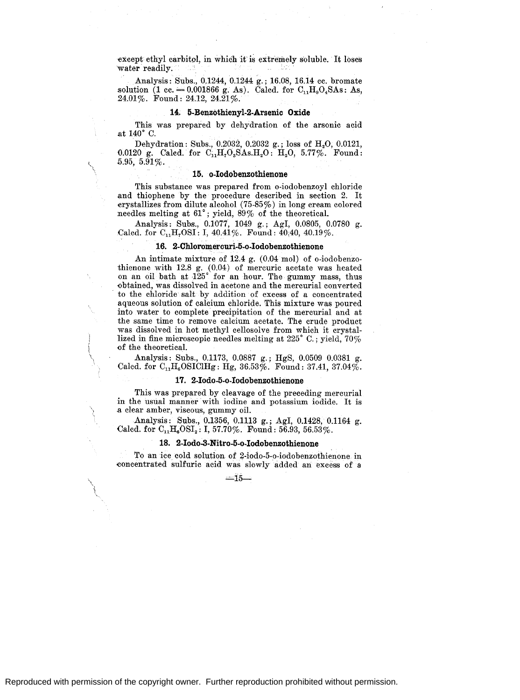~xcept ethyl carbitol, in which it is extremely soluble. It Ioses water readily.

Analysis: Subs., 0.1244, 0.1244 g.; 16.08, 16.14 cc. bromate solution (1 cc.  $= 0.001866$  g. As). Calcd. for C<sub>11</sub>H<sub>9</sub>O<sub>4</sub>SAs: As, 24.01 %. Found: 24.12, 24.21 %.

# **14. 5-Benzothienyl-2-Arsenic Oxide**

This was prepared by dehydration of the arsonic acid at 140° C.

Dehydration: Subs., 0.2032, 0.2032 g.; loss of  $H_2O$ , 0.0121, 0.0120 g. Calcd. for  $C_{11}H_7O_8SA_8.H_2O$ :  $H_2O$ , 5.77%. Found: 5.95,  $5.91\%$ .

### **15. o-Iodobenzothienone**

This substance was prepared from o-iodobenzoyl chloride and thiophene by the procedure described in section 2. It erystallizes from dilute alcohol (75-85%) in long cream colored needles melting at 61°; yield, 89% of the theoretical.

Analysis: Subs., 0.1077, 1049 g.; AgI, 0.0805, 0.0780 g. Calcd. for  $C_{11}H_7OSI$ : I, 40.41%. Found: 40.40, 40.19%.

#### **16. 2-Chloromercuri-5-o-Iodobenzothienone**

An intimate mixture of 12.4 g. (0.04 mol) of o-iodobenzothienone with 12.8 g. (0.04) of mercuric acetate was heated on an oil bath at 125° for an hour. The gummy mass, thus -obtained, was dissolved in acetone and the mercurial converted to the chloride salt by addition of excess of a concentrated aqueous solution of calcium chloride. This mixture was poured into water to complete precipitation of the mercurial and at the same time to remove calcium acetate. The crude product was dissolved in hot methyl cellosolve from which it crystallized in fine microscopic needles melting at 225° C.; yield, 70% -of the theoretical.

Analysis: Subs., 0.1173, 0.0887 g.; HgS, 0.0509 0.0381 g. Calcd. for  $C_1,H_6$  OSICIHg: Hg, 36.53%. Found: 37.41, 37.04%.

#### **17. 2-Iodo-5-o-Iodo benzothienone**

This was prepared by cleavage of the preceding mercurial in the usual manner with iodine and potassium iodide. It is a clear amber, viscous, gummy oil.

Analysis: Subs., 0.1356, 0.1113 g.; AgI, 0.1428, 0.1164 g. Calcd. for  $C_{11}H_6OSI_2$ : I, 57.70%. Found: 56.93, 56.53%.

# **18. 2-Iodo-3-Nitro-5-o-Iodobenzothienone**

To an ice cold solution of 2-iodo-5-o-iodobenzothienone in eoncentrated sulfuric acid was. slowly. added an excess of a

 $=15-$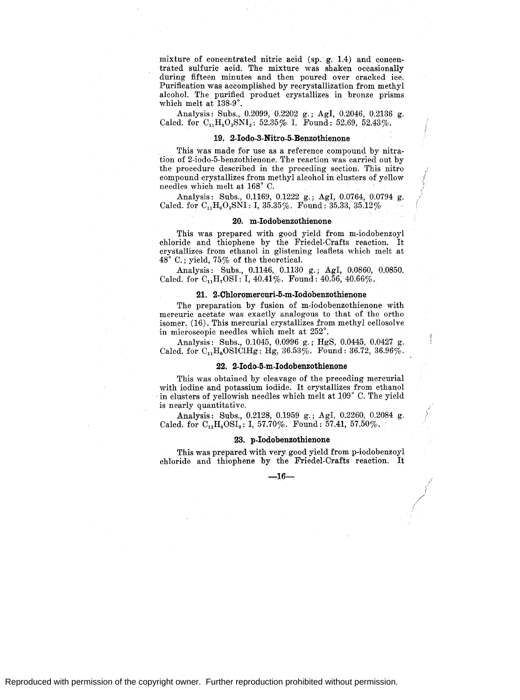mixture of concentrated nitric acid (sp. g. 1.4) and concentrated sulfuric acid. The mixture was shaken occasionally during fifteen minutes and then poured over cracked ice. Purification was accomplished by recrystallization from methyl alcohol. The purified product crystallizes in bronze prisms which melt at 138-9°.

Analysis: Subs., 0.2099, 0.2202 g.; Agl, 0;2046, 0.2136 g. Calcd. for  $C_{11}H_{5}O_{3}SNI_{2}$ : 52.35% I. Found: 52.69, 52.43%.

### **19. 2-Iodo-3-Nitro-5-Benzothienone**

This was made for use as a reference compound by nitration of 2-iodo-5-benzothienone. The reaction was carried out by the procedure described in the preceding section. This nitro compound crystallizes from methyl alcohol in clusters of yellow needles which melt at 168° 0.

Analysis: Subs., 0.1169, 0.1222 g.; Agl, 0.0764, 0.0794 g. Calcd. for  $C_1$ ,  $H_6O_3$ SNI: I, 35.35%. Found: 35.33, 35.12%

#### **20. m-Iodobenzothienone**

This was prepared with good yield from m-iodobenzoyl chloride and thiophene by the Friedel-Crafts reaction. It crystallizes from ethanol in glistening leaflets which melt at 48° 0.; yield, 75% of the theoretical.

Analysis: Subs., 0.1146, 0.1130 g.; Agl, 0.0860, 0.0850. Calcd. for  $C_{11}H_{7}OSI: I, 40.41\%$ . Found:  $40.56, 40.66\%$ .

# **21. 2-Chloromercuri-5-m-Iodobenzothienone**

The preparation by fusion of m-iodobenzothienone with mercuric acetate was exactly analogous to that of the ortho isomer. (16). This mercurial crystallizes from methyl cellosolve in microscopic needles which melt at 252°.

Analysis: Subs., 0.1045, 0.0996 g.; HgS, 0.0445, 0.0427 g. Calcd. for  $C_{11}H_6OSTCHg$ : Hg, 36.53%. Found: 36.72, 36.96%.

#### **22. 2-Iodo-5-m-Iodobenzothienone**

This was obtained by cleavage of the preceding mercurial with iodine and potassium iodide. It crystallizes from ethanol in clusters of yellowish needles which melt at  $109°$  C. The yield is nearly quantitative.

Analysis: Subs., 0.2128, 0.1959 g.; AgI, 0.2260, 0.2084 g. Calcd. for  $C_{11}H_6OSI_2$ : I, 57.70%. Found: 57.41, 57.50%.

#### **23. p-Iodobenzothienone**

This was prepared with very good yield from p-iodobenzoyl chloride and thiophene by the Friedel-Crafts reaction. It

**-16---.,**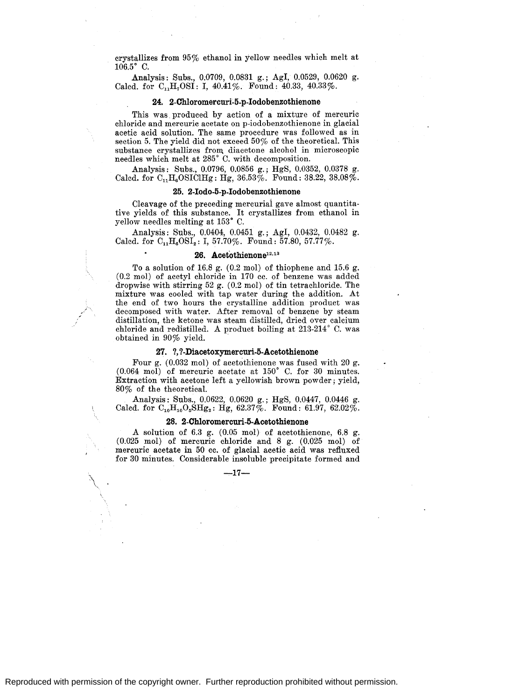crystallizes from 95% ethanol in yellow needles which melt at  $106.5^\circ$  C.

Analysis: Subs., 0.0709, 0.0831 g.; AgI, 0.0529, 0.0620 g. Calcd. for  $C_{11}H_7OSI$ : I, 40.41%. Found: 40.33, 40.33%.

#### **24.** 2-Chloromercuri~5-p-lodobenzothienone

This was. produced by action of a mixture of mercuric chloride and mercuric acetate on p-iodobenzothienone in glacial acetic acid solution. The same procedure was followed as in section 5. The yield did not exceed 50% of the theoretical. This substance crystallizes from. diacetone alcohol in microscopic needles which melt at 285° C. with decomposition.

.Analysis: Subs., 0.0796, 0.0856 g.; HgS, 0.0352, 0.0378 g. Calcd. for  $C_{11}H_6OSTCHg$ : Hg,  $36.53\%$ . Found:  $38.22$ ,  $38.08\%$ .

#### **25. 2-Iodo-5-p-lodobenzothienone**

Cleavage of the preceding mercuriai gave almost quantitative yields of this substance. It crystallizes from ethanol in yellow needles melting at 153° C.

Analysis: Subs., 0.0404, 0.0451 g.; Agl, 0.0432, 0.0482 g. Calcd. for  $C_{11}H_6OSI_2$ : I, 57.70%. Found: 57.80, 57.77%.

# **26. Acet0thienone12• 13**

To a solution of 16.8 g. (0.2 mol) of thiophene and 15.6 g. (0.2 mol) of acetyl chloride in 170 cc. of benzene was added dropwise with stirring 52 g. (0.2 mol) of tin tetrachloride. The mixture was cooled with tap water during the addition. At the end of two hours the crystalline addition product was decomposed with water. After removal of benzene by steam distillation, the ketone was steam distilled, dried over calcium chloride and redistilled. A product boiling at 213-214 ° C. was obtained in 90% yield.

#### **27. ?, ?-Diacetoxymercuri-5-Acetothienone**

Four g. (0.032 mol) of acetothienone was fused with 20 g. (0.064 mol) of mercuric acetate at 150° C. for 30 minutes. Extraction with acetone left a yellowish brown powder; yield, 80% of the theoretical.

Analysis: Subs., 0.0622, 0.0620 g.; HgS, 0.0447, 0.0446 g. Calcd. for  $C_{10}H_{10}O_5\dot{S}Hg_2$ : Hg, 62.37%. Found: 61.97, 62.02%.

# **28. 2-Chloromercuri-5-Acetothienone**

A solution of 6.3 g. (0.05 mol) of acetothienone, 6.8 g. (0.025 mol) of mercuric chloride and 8 g. (0.025 mol) of mercuric acetate in 50 cc. of glacial acetic acid was refluxed for 30 minutes. Considerable insoluble precipitate formed and

-17-

 $\mathcal{N}$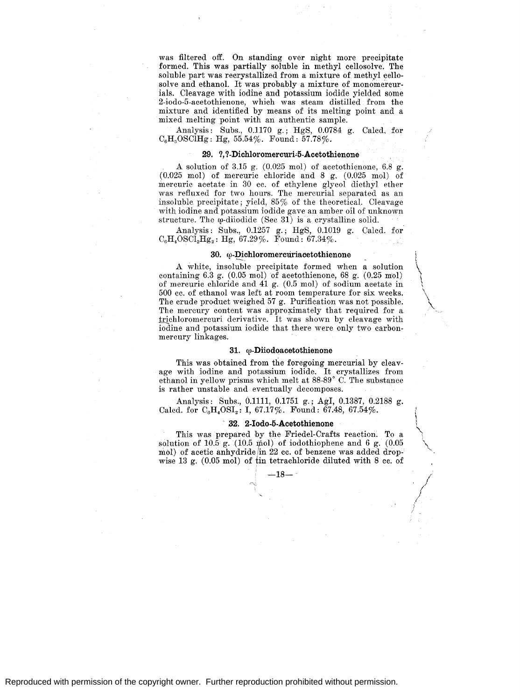was filtered off. On standing over night more precipitate formed. This was partially soluble in methyl cellosolve. The soluble part was recrystallized from a mixture of methyl cellosolve and ethanol. It was probably a mixture of monomercurials. Cleavage with iodine and potassium iodide yielded some 2-iodo-5-acetothienone, which was steam distilled from the mixture and identified by means of its melting point and a mixed melting point with an authentic sample.

Analysis: Subs., 0.1170 g.; HgS, 0.0784 g. Calcd. for  $C_6H_5OSCiHg$ : Hg, 55.54%. Found: 57.78%.

## **29. ?, ?-Dichloromercuri"5-Acetothienone**

A solution of 3.15 g. (0.025 mol) of acetothienone, 6.8 g. (0.025 mol) of mercuric chloride and 8 g. (0.025 mol) of mercuric acetate in 30 cc. of ethylene glycol diethyl ether was refluxed for two hours. The mercurial separated as an insoluble precipitate; yield, 85% of the theoretical. Cleavage with iodine and potassium iodide gave an amber oil of unknown structure. The  $\varphi$ -diiodide (Sec 31) is a crystalline solid.

Analysis: Subs., 0.1257 g.; HgS, 0.1019 g. Calcd. for  $\rm C_6H_4 OSCI_2Hg_2 \colon Hg, 67.29\%.$  Found:  $67.34\%.$ 

#### **30. w-Dichloromercuriacetothienone**  ... ~-.

i

I  $\mathfrak{l}$ 

\\ '\.

\

\  $\lambda$  $\lambda$ 

A white, insoluble precipitate formed when a solution containing 6.3 g. (0.05 mol) of acetothienone, 68 g. (0.25 mol) of mercuric chloride and 41 g. (0.5 mol) of sodium acetate in 500 cc. of ethanol was left at room temperature for six weeks. The crude product weighed 57 g. Purification was not possible. The mercury content was approximately that required for a. trichloromercuri derivative. It was shown by cleavage with iodine and potassium iodide that there were only two carbonmercury linkages.

#### 31.  $\omega$ -Diiodoacetothienone

This was obtained from the foregoing mercurial by cleavage with iodine and potassium iodide. It crystallizes from ethanol in yellow prisms which melt at 88-89° C. The substance is rather unstable and eventually decomposes.

Analysis: Subs., 0.1111, 0.1751 g.; Agl, 0.1387, 0.2188 g. Calcd. for  $C_6H_4OSI_2$ : I, 67.17%. Found: 67.48, 67.54%.

# **32. 2-Iodo-5-Acetothienone**

This was prepared by the Friedel-Crafts reaction. To a solution of  $10.\overline{5}$  g.  $(10.5 \text{ mol})$  of iodothiophene and 6 g.  $(0.05$ mol) of acetic anhydride in 22 cc. of benzene was added dropwise 13 g.  $(0.05 \text{ mol})$  of tin tetrachloride diluted with 8 cc. of

-18 $-$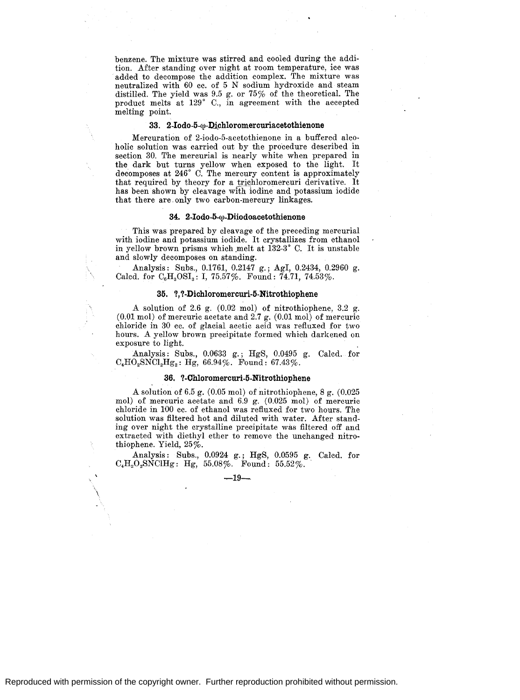benzene. The mixture was stirred and cooled during the addition. After standing over night at room temperature, ice was added to decompose the addition complex. The mixture was neutralized with 60 cc. of 5 N sodium hydroxide and steam distilled. The yield was 9.5 g. or  $75\%$  of the theoretical. The product melts at 129° C., in agreement with the accepted melting point.

# 33. 2-Iodo-5- $\omega$ -Dichloromercuriacetothienone

Mercuration of 2-iodo-5-acetothienone in a buffered alcoholic solution was carried out by the procedure described in section 30. The mercurial is nearly white when prepared in the dark but turns yellow when exposed to the light. It decomposes at 246° C. The mercury content is approximately that required by theory for a trichloromercuri derivative. It has been shown by cleavage with iodine and potassium iodide that there are. only two carbon-mercury linkages.

#### **34. 2-Iodo-5-cv-Diiodoacetothienone**

This was prepared by cleavage of the preceding mercurial with iodine and potassium iodide. It crystallizes from ethanol in yellow brown prisms which melt at 132-3° C. It is unstable and slowly decomposes on standing.

Analysis: Subs., 0.1761, 0.2147 g.; AgI, 0.2434, 0.2960 g. Calcd. for  $C_6H_3OSI_3$ : I, 75.57%. Found: 74.71, 74.53%.

## **35.** *'!,* **'!-Dichloromercuri-5-Nitrothiophene**

.A solution of 2.6 g. (0.02 mol) of nitrothiophene, 3.2 g. (0.01 mol) of mercuric acetate and 2.7 g. (0.01 mol) of mercuric chloride in 30 cc. of glacial acetic acid was refluxed for two hours. A yellow brown precipitate formed which darkened on exposure to light.

.Analysis: Subs., 0.0633 g.; HgS, 0.0495 g. Calcd. for  $C_4HO_2SNC1_2Hg_2$ : Hg, 66.94%. Found: 67.43%.

#### **36. '!-Chloromercuri-5-Nitrothiophene**

.A solution of 6.5 g. (0.05 mol) of nitrothiophene, 8 g. (0.025 mol) of mercuric acetate and 6.9 g. (0.025 mol) of mercuric chloride in 100 cc. of ethanol was refluxed for two hours. The solution was filtered hot and diluted with water. After standing over night the crystalline precipitate was filtered off and extracted with diethyl ether to remove the unchanged nitrothiophene. Yield, 25%.

.Analysis: Subs., 0.0924 g.; HgS, 0.0595 g. Calcd. for  $C_4H_2O_2SNCIHg: Hg, 55.08\%.$  Found: 55.52%.

 $-19-$ 

\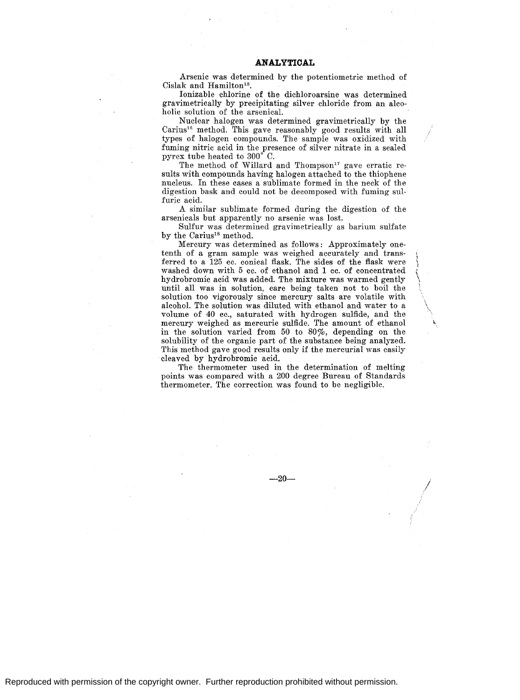Arsenic was determined by the potentiometric method of Cislak and Hamilton<sup>15</sup>.

Ionizable chlorine of the dichloroarsine was determined gravimetrically by precipitating silver chloride from an alcoholic solution of the arsenical.

Nuclear halogen was determined gravimetrically by the Carius16 method. This gave reasonably good results with all types of halogen compounds. The sample was oxidized with fuming nitric acid in the presence of silver nitrate in a sealed pyrex tube heated to 300° C.

The method of Willard and Thompson<sup>17</sup> gave erratic results with compounds having halogen attached to the thiophene nucleus. In these cases a sublimate formed in the neck of the digestion bask and could not be decomposed with fuming sulfuric acid.

A similar sublimate formed during the digestion of the arsenicals but apparently no arsenic was lost.

Sulfur was determined gravimetrically as barium sulfate by the Carius<sup>18</sup> method.

Mercury was determined as follows: Approximately onetenth of a gram sample was weighed accurately and transferred to a 125 cc. conical flask. The sides of the flask were washed down with 5 cc. of ethanol and 1 cc. of concentrated hydrobromic acid was added. The mixture was warmed gently until all was in solution, care being taken not to boil the solution too vigorously since mercury salts are volatile with alcohol. The solution was diluted with ethanol and water to a volume of 40 cc., saturated with hydrogen sulfide, and the mercury weighed as mercuric sulfide. The amount of ethanol in the solution varied from 50 to 80%, depending on the solubility of the organic part of the substance being analyzed. This method gave good results only if the mercurial was easily cleaved by hydrobromic acid.

 $\ddot{\phantom{0}}$  $\setminus$ \

*,/* 

The thermometer used in the determination of melting points was compared with a 200 degree Bureau of Standards thermometer. The correction was found to be negligible.

 $-20-$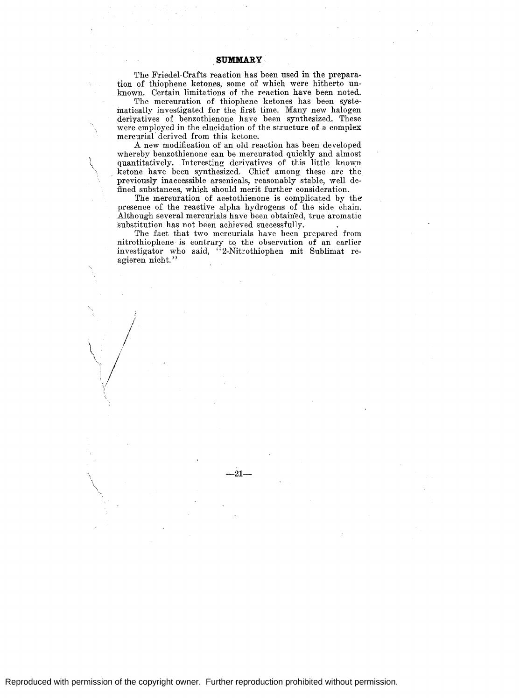The Friedel-Crafts reaction has been used in the preparation of thiophene ketones, some of which were hitherto unknown. Certain limitations of the reaction have been noted.

The mercuration of thiophene ketones has been systematically investigated for the first time. Many new halogen deriyatives of benzothienone have been synthesized. These were employed in the elucidation of the structure of a complex mercurial derived from this ketone.

A new modification of an old reaction has been developed whereby benzothienone can be mercurated quickly and almost quantitatively. Interesting derivatives of this little known ketone have been synthesized. Chief among these are the previously inaccessible arsenicals, reasonably stable, well defined substances, which should merit further consideration.

The mercuration of acetothienone is complicated by the presence of the reactive alpha hydrogens of the side chain. Although several mercurials have been obtained, true aromatic substitution has not been achieved successfully.

The fact that two mercurials have been prepared from nitrothiophene is contrary to the observation of an earlier investigator who said, "2-Nitrothiophen mit Sublimat reagieren nicht. ''

 $\frac{1}{2}$